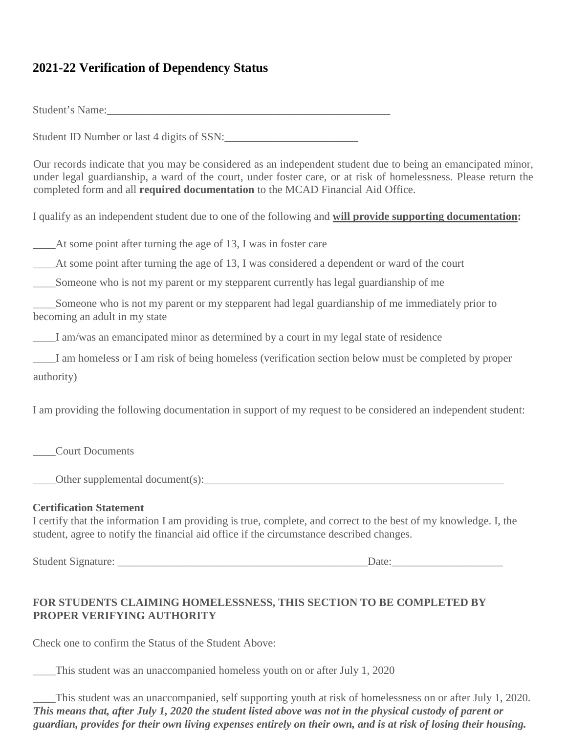## **2021-22 Verification of Dependency Status**

Student's Name:

Student ID Number or last 4 digits of SSN:

Our records indicate that you may be considered as an independent student due to being an emancipated minor, under legal guardianship, a ward of the court, under foster care, or at risk of homelessness. Please return the completed form and all **required documentation** to the MCAD Financial Aid Office.

I qualify as an independent student due to one of the following and **will provide supporting documentation:** 

\_\_\_\_At some point after turning the age of 13, I was in foster care

\_\_\_\_At some point after turning the age of 13, I was considered a dependent or ward of the court

\_\_\_\_Someone who is not my parent or my stepparent currently has legal guardianship of me

\_\_\_\_Someone who is not my parent or my stepparent had legal guardianship of me immediately prior to becoming an adult in my state

\_\_\_\_I am/was an emancipated minor as determined by a court in my legal state of residence

\_\_\_\_I am homeless or I am risk of being homeless (verification section below must be completed by proper authority)

I am providing the following documentation in support of my request to be considered an independent student:

\_\_\_\_Court Documents

\_\_\_\_Other supplemental document(s):\_\_\_\_\_\_\_\_\_\_\_\_\_\_\_\_\_\_\_\_\_\_\_\_\_\_\_\_\_\_\_\_\_\_\_\_\_\_\_\_\_\_\_\_\_\_\_\_\_\_\_\_\_\_

## **Certification Statement**

I certify that the information I am providing is true, complete, and correct to the best of my knowledge. I, the student, agree to notify the financial aid office if the circumstance described changes.

Student Signature: \_\_\_\_\_\_\_\_\_\_\_\_\_\_\_\_\_\_\_\_\_\_\_\_\_\_\_\_\_\_\_\_\_\_\_\_\_\_\_\_\_\_\_\_\_Date:\_\_\_\_\_\_\_\_\_\_\_\_\_\_\_\_\_\_\_\_

## **FOR STUDENTS CLAIMING HOMELESSNESS, THIS SECTION TO BE COMPLETED BY PROPER VERIFYING AUTHORITY**

Check one to confirm the Status of the Student Above:

\_\_\_\_This student was an unaccompanied homeless youth on or after July 1, 2020

\_\_\_\_This student was an unaccompanied, self supporting youth at risk of homelessness on or after July 1, 2020. *This means that, after July 1, 2020 the student listed above was not in the physical custody of parent or guardian, provides for their own living expenses entirely on their own, and is at risk of losing their housing.*